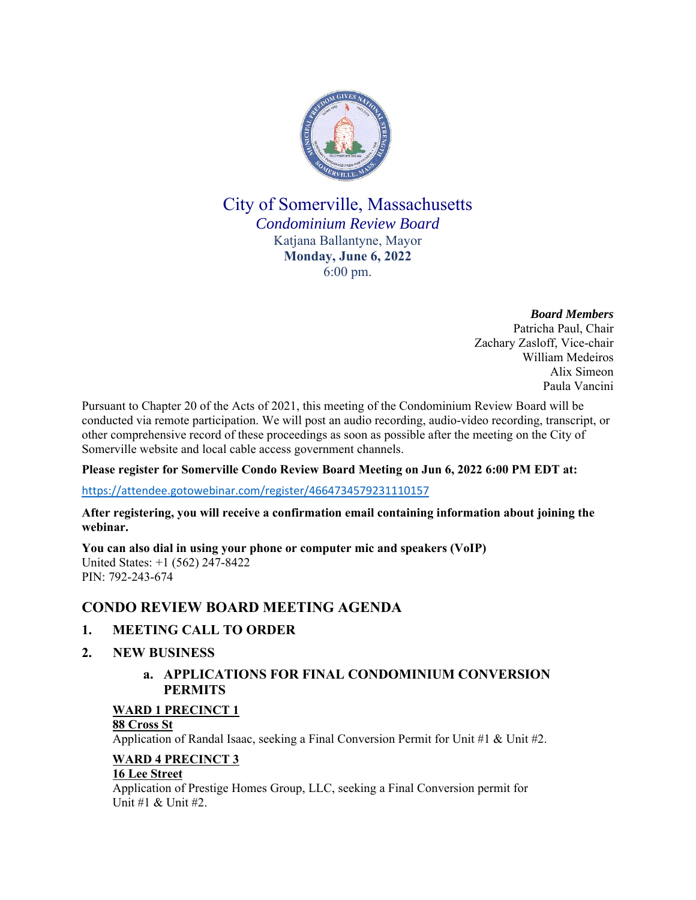

## City of Somerville, Massachusetts *Condominium Review Board* Katjana Ballantyne, Mayor **Monday, June 6, 2022** 6:00 pm.

*Board Members* Patricha Paul, Chair Zachary Zasloff, Vice-chair William Medeiros Alix Simeon Paula Vancini

Pursuant to Chapter 20 of the Acts of 2021, this meeting of the Condominium Review Board will be conducted via remote participation. We will post an audio recording, audio-video recording, transcript, or other comprehensive record of these proceedings as soon as possible after the meeting on the City of Somerville website and local cable access government channels.

#### **Please register for Somerville Condo Review Board Meeting on Jun 6, 2022 6:00 PM EDT at:**

https://attendee.gotowebinar.com/register/4664734579231110157

#### **After registering, you will receive a confirmation email containing information about joining the webinar.**

**You can also dial in using your phone or computer mic and speakers (VoIP)** United States: +1 (562) 247-8422 PIN: 792-243-674

## **CONDO REVIEW BOARD MEETING AGENDA**

## **1. MEETING CALL TO ORDER**

**2. NEW BUSINESS**

## **a. APPLICATIONS FOR FINAL CONDOMINIUM CONVERSION PERMITS**

#### **WARD 1 PRECINCT 1**

#### **88 Cross St**

Application of Randal Isaac, seeking a Final Conversion Permit for Unit #1 & Unit #2.

#### **WARD 4 PRECINCT 3**

#### **16 Lee Street**

Application of Prestige Homes Group, LLC, seeking a Final Conversion permit for Unit #1 & Unit #2.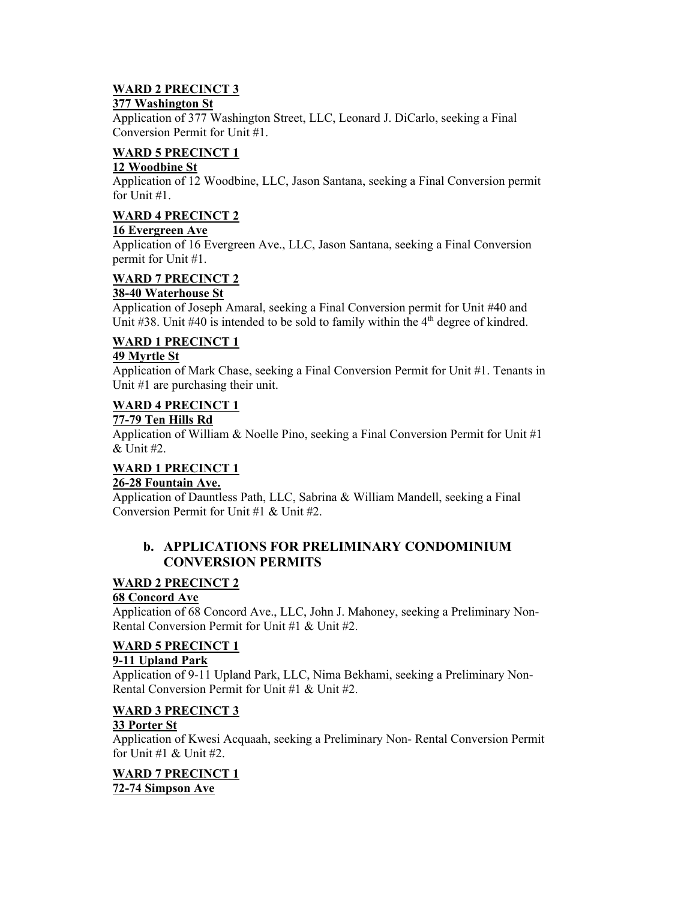## **WARD 2 PRECINCT 3**

#### **377 Washington St**

Application of 377 Washington Street, LLC, Leonard J. DiCarlo, seeking a Final Conversion Permit for Unit #1.

#### **WARD 5 PRECINCT 1**

#### **12 Woodbine St**

Application of 12 Woodbine, LLC, Jason Santana, seeking a Final Conversion permit for Unit #1.

#### **WARD 4 PRECINCT 2**

#### **16 Evergreen Ave**

Application of 16 Evergreen Ave., LLC, Jason Santana, seeking a Final Conversion permit for Unit #1.

### **WARD 7 PRECINCT 2**

#### **38-40 Waterhouse St**

Application of Joseph Amaral, seeking a Final Conversion permit for Unit #40 and Unit  $\#38$ . Unit  $\#40$  is intended to be sold to family within the  $4<sup>th</sup>$  degree of kindred.

#### **WARD 1 PRECINCT 1**

#### **49 Myrtle St**

Application of Mark Chase, seeking a Final Conversion Permit for Unit #1. Tenants in Unit #1 are purchasing their unit.

#### **WARD 4 PRECINCT 1**

#### **77-79 Ten Hills Rd**

Application of William & Noelle Pino, seeking a Final Conversion Permit for Unit  $\#1$ & Unit #2.

# **WARD 1 PRECINCT 1**

#### **26-28 Fountain Ave.**

Application of Dauntless Path, LLC, Sabrina & William Mandell, seeking a Final Conversion Permit for Unit #1 & Unit #2.

#### **b. APPLICATIONS FOR PRELIMINARY CONDOMINIUM CONVERSION PERMITS**

#### **WARD 2 PRECINCT 2**

#### **68 Concord Ave**

Application of 68 Concord Ave., LLC, John J. Mahoney, seeking a Preliminary Non-Rental Conversion Permit for Unit #1 & Unit #2.

#### **WARD 5 PRECINCT 1**

#### **9-11 Upland Park**

Application of 9-11 Upland Park, LLC, Nima Bekhami, seeking a Preliminary Non-Rental Conversion Permit for Unit #1 & Unit #2.

#### **WARD 3 PRECINCT 3**

#### **33 Porter St**

Application of Kwesi Acquaah, seeking a Preliminary Non- Rental Conversion Permit for Unit #1 & Unit #2.

#### **WARD 7 PRECINCT 1 72-74 Simpson Ave**